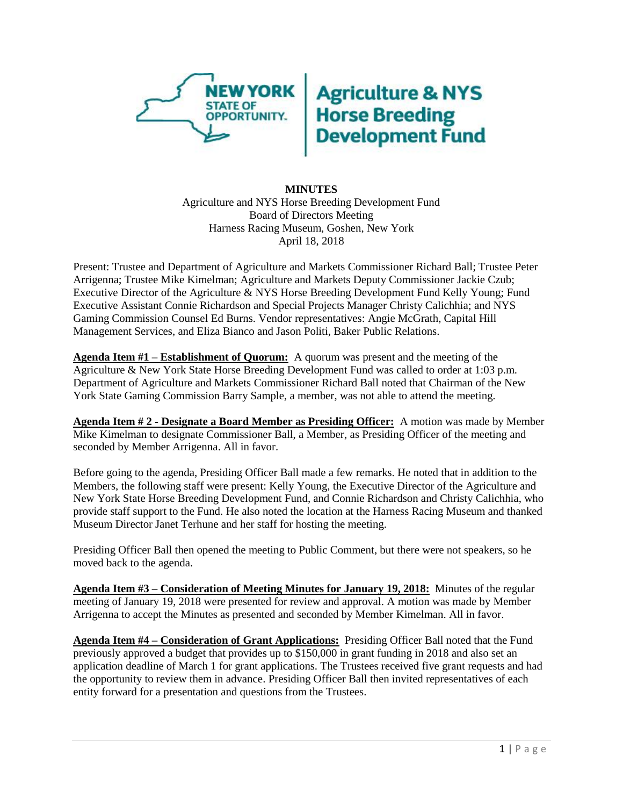

## **Agriculture & NYS<br>Horse Breeding<br>Development Fund**

## **MINUTES** Agriculture and NYS Horse Breeding Development Fund Board of Directors Meeting Harness Racing Museum, Goshen, New York April 18, 2018

Present: Trustee and Department of Agriculture and Markets Commissioner Richard Ball; Trustee Peter Arrigenna; Trustee Mike Kimelman; Agriculture and Markets Deputy Commissioner Jackie Czub; Executive Director of the Agriculture & NYS Horse Breeding Development Fund Kelly Young; Fund Executive Assistant Connie Richardson and Special Projects Manager Christy Calichhia; and NYS Gaming Commission Counsel Ed Burns. Vendor representatives: Angie McGrath, Capital Hill Management Services, and Eliza Bianco and Jason Politi, Baker Public Relations.

**Agenda Item #1 – Establishment of Quorum:** A quorum was present and the meeting of the Agriculture & New York State Horse Breeding Development Fund was called to order at 1:03 p.m. Department of Agriculture and Markets Commissioner Richard Ball noted that Chairman of the New York State Gaming Commission Barry Sample, a member, was not able to attend the meeting.

**Agenda Item # 2 - Designate a Board Member as Presiding Officer:** A motion was made by Member Mike Kimelman to designate Commissioner Ball, a Member, as Presiding Officer of the meeting and seconded by Member Arrigenna. All in favor.

Before going to the agenda, Presiding Officer Ball made a few remarks. He noted that in addition to the Members, the following staff were present: Kelly Young, the Executive Director of the Agriculture and New York State Horse Breeding Development Fund, and Connie Richardson and Christy Calichhia, who provide staff support to the Fund. He also noted the location at the Harness Racing Museum and thanked Museum Director Janet Terhune and her staff for hosting the meeting.

Presiding Officer Ball then opened the meeting to Public Comment, but there were not speakers, so he moved back to the agenda.

**Agenda Item #3 – Consideration of Meeting Minutes for January 19, 2018:** Minutes of the regular meeting of January 19, 2018 were presented for review and approval. A motion was made by Member Arrigenna to accept the Minutes as presented and seconded by Member Kimelman. All in favor.

**Agenda Item #4 – Consideration of Grant Applications:** Presiding Officer Ball noted that the Fund previously approved a budget that provides up to \$150,000 in grant funding in 2018 and also set an application deadline of March 1 for grant applications. The Trustees received five grant requests and had the opportunity to review them in advance. Presiding Officer Ball then invited representatives of each entity forward for a presentation and questions from the Trustees.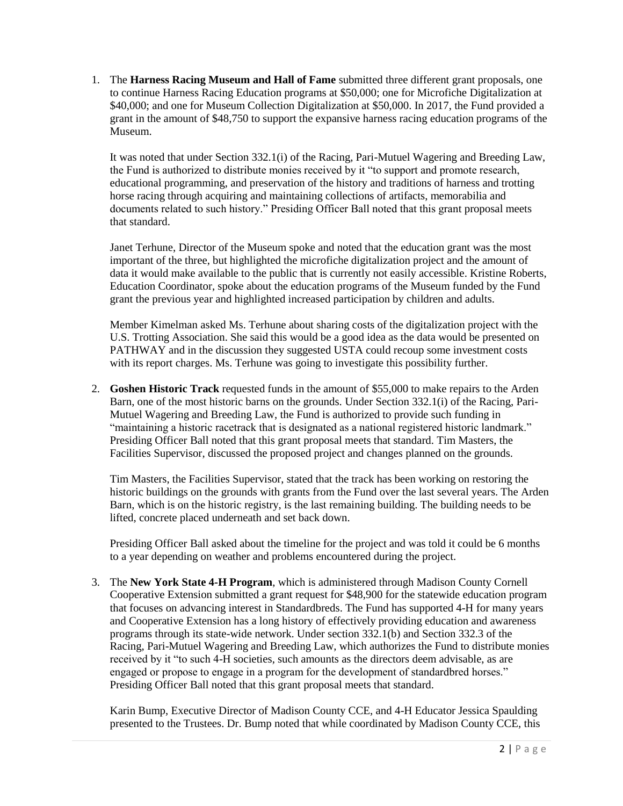1. The **Harness Racing Museum and Hall of Fame** submitted three different grant proposals, one to continue Harness Racing Education programs at \$50,000; one for Microfiche Digitalization at \$40,000; and one for Museum Collection Digitalization at \$50,000. In 2017, the Fund provided a grant in the amount of \$48,750 to support the expansive harness racing education programs of the Museum.

It was noted that under Section 332.1(i) of the Racing, Pari-Mutuel Wagering and Breeding Law, the Fund is authorized to distribute monies received by it "to support and promote research, educational programming, and preservation of the history and traditions of harness and trotting horse racing through acquiring and maintaining collections of artifacts, memorabilia and documents related to such history." Presiding Officer Ball noted that this grant proposal meets that standard.

Janet Terhune, Director of the Museum spoke and noted that the education grant was the most important of the three, but highlighted the microfiche digitalization project and the amount of data it would make available to the public that is currently not easily accessible. Kristine Roberts, Education Coordinator, spoke about the education programs of the Museum funded by the Fund grant the previous year and highlighted increased participation by children and adults.

Member Kimelman asked Ms. Terhune about sharing costs of the digitalization project with the U.S. Trotting Association. She said this would be a good idea as the data would be presented on PATHWAY and in the discussion they suggested USTA could recoup some investment costs with its report charges. Ms. Terhune was going to investigate this possibility further.

2. **Goshen Historic Track** requested funds in the amount of \$55,000 to make repairs to the Arden Barn, one of the most historic barns on the grounds. Under Section 332.1(i) of the Racing, Pari-Mutuel Wagering and Breeding Law, the Fund is authorized to provide such funding in "maintaining a historic racetrack that is designated as a national registered historic landmark." Presiding Officer Ball noted that this grant proposal meets that standard. Tim Masters, the Facilities Supervisor, discussed the proposed project and changes planned on the grounds.

Tim Masters, the Facilities Supervisor, stated that the track has been working on restoring the historic buildings on the grounds with grants from the Fund over the last several years. The Arden Barn, which is on the historic registry, is the last remaining building. The building needs to be lifted, concrete placed underneath and set back down.

Presiding Officer Ball asked about the timeline for the project and was told it could be 6 months to a year depending on weather and problems encountered during the project.

3. The **New York State 4-H Program**, which is administered through Madison County Cornell Cooperative Extension submitted a grant request for \$48,900 for the statewide education program that focuses on advancing interest in Standardbreds. The Fund has supported 4-H for many years and Cooperative Extension has a long history of effectively providing education and awareness programs through its state-wide network. Under section 332.1(b) and Section 332.3 of the Racing, Pari-Mutuel Wagering and Breeding Law, which authorizes the Fund to distribute monies received by it "to such 4-H societies, such amounts as the directors deem advisable, as are engaged or propose to engage in a program for the development of standardbred horses." Presiding Officer Ball noted that this grant proposal meets that standard.

Karin Bump, Executive Director of Madison County CCE, and 4-H Educator Jessica Spaulding presented to the Trustees. Dr. Bump noted that while coordinated by Madison County CCE, this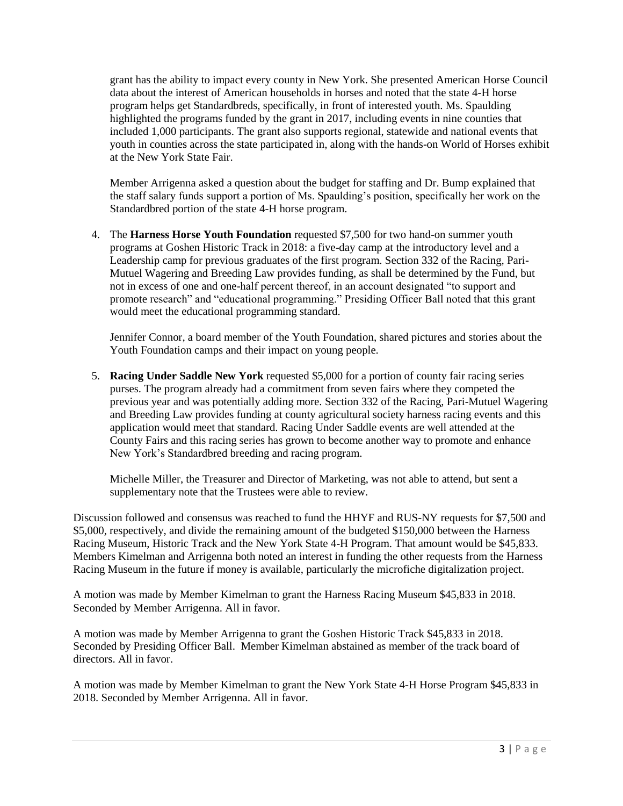grant has the ability to impact every county in New York. She presented American Horse Council data about the interest of American households in horses and noted that the state 4-H horse program helps get Standardbreds, specifically, in front of interested youth. Ms. Spaulding highlighted the programs funded by the grant in 2017, including events in nine counties that included 1,000 participants. The grant also supports regional, statewide and national events that youth in counties across the state participated in, along with the hands-on World of Horses exhibit at the New York State Fair.

Member Arrigenna asked a question about the budget for staffing and Dr. Bump explained that the staff salary funds support a portion of Ms. Spaulding's position, specifically her work on the Standardbred portion of the state 4-H horse program.

4. The **Harness Horse Youth Foundation** requested \$7,500 for two hand-on summer youth programs at Goshen Historic Track in 2018: a five-day camp at the introductory level and a Leadership camp for previous graduates of the first program. Section 332 of the Racing, Pari-Mutuel Wagering and Breeding Law provides funding, as shall be determined by the Fund, but not in excess of one and one-half percent thereof, in an account designated "to support and promote research" and "educational programming." Presiding Officer Ball noted that this grant would meet the educational programming standard.

Jennifer Connor, a board member of the Youth Foundation, shared pictures and stories about the Youth Foundation camps and their impact on young people.

5. **Racing Under Saddle New York** requested \$5,000 for a portion of county fair racing series purses. The program already had a commitment from seven fairs where they competed the previous year and was potentially adding more. Section 332 of the Racing, Pari-Mutuel Wagering and Breeding Law provides funding at county agricultural society harness racing events and this application would meet that standard. Racing Under Saddle events are well attended at the County Fairs and this racing series has grown to become another way to promote and enhance New York's Standardbred breeding and racing program.

Michelle Miller, the Treasurer and Director of Marketing, was not able to attend, but sent a supplementary note that the Trustees were able to review.

Discussion followed and consensus was reached to fund the HHYF and RUS-NY requests for \$7,500 and \$5,000, respectively, and divide the remaining amount of the budgeted \$150,000 between the Harness Racing Museum, Historic Track and the New York State 4-H Program. That amount would be \$45,833. Members Kimelman and Arrigenna both noted an interest in funding the other requests from the Harness Racing Museum in the future if money is available, particularly the microfiche digitalization project.

A motion was made by Member Kimelman to grant the Harness Racing Museum \$45,833 in 2018. Seconded by Member Arrigenna. All in favor.

A motion was made by Member Arrigenna to grant the Goshen Historic Track \$45,833 in 2018. Seconded by Presiding Officer Ball. Member Kimelman abstained as member of the track board of directors. All in favor.

A motion was made by Member Kimelman to grant the New York State 4-H Horse Program \$45,833 in 2018. Seconded by Member Arrigenna. All in favor.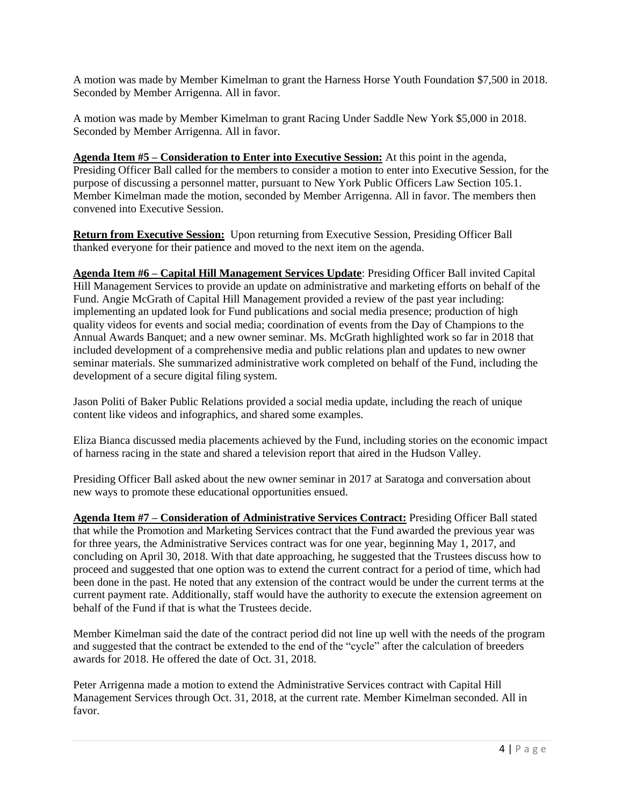A motion was made by Member Kimelman to grant the Harness Horse Youth Foundation \$7,500 in 2018. Seconded by Member Arrigenna. All in favor.

A motion was made by Member Kimelman to grant Racing Under Saddle New York \$5,000 in 2018. Seconded by Member Arrigenna. All in favor.

**Agenda Item #5 – Consideration to Enter into Executive Session:** At this point in the agenda, Presiding Officer Ball called for the members to consider a motion to enter into Executive Session, for the purpose of discussing a personnel matter, pursuant to New York Public Officers Law Section 105.1. Member Kimelman made the motion, seconded by Member Arrigenna. All in favor. The members then convened into Executive Session.

**Return from Executive Session:** Upon returning from Executive Session, Presiding Officer Ball thanked everyone for their patience and moved to the next item on the agenda.

**Agenda Item #6 – Capital Hill Management Services Update**: Presiding Officer Ball invited Capital Hill Management Services to provide an update on administrative and marketing efforts on behalf of the Fund. Angie McGrath of Capital Hill Management provided a review of the past year including: implementing an updated look for Fund publications and social media presence; production of high quality videos for events and social media; coordination of events from the Day of Champions to the Annual Awards Banquet; and a new owner seminar. Ms. McGrath highlighted work so far in 2018 that included development of a comprehensive media and public relations plan and updates to new owner seminar materials. She summarized administrative work completed on behalf of the Fund, including the development of a secure digital filing system.

Jason Politi of Baker Public Relations provided a social media update, including the reach of unique content like videos and infographics, and shared some examples.

Eliza Bianca discussed media placements achieved by the Fund, including stories on the economic impact of harness racing in the state and shared a television report that aired in the Hudson Valley.

Presiding Officer Ball asked about the new owner seminar in 2017 at Saratoga and conversation about new ways to promote these educational opportunities ensued.

**Agenda Item #7 – Consideration of Administrative Services Contract:** Presiding Officer Ball stated that while the Promotion and Marketing Services contract that the Fund awarded the previous year was for three years, the Administrative Services contract was for one year, beginning May 1, 2017, and concluding on April 30, 2018. With that date approaching, he suggested that the Trustees discuss how to proceed and suggested that one option was to extend the current contract for a period of time, which had been done in the past. He noted that any extension of the contract would be under the current terms at the current payment rate. Additionally, staff would have the authority to execute the extension agreement on behalf of the Fund if that is what the Trustees decide.

Member Kimelman said the date of the contract period did not line up well with the needs of the program and suggested that the contract be extended to the end of the "cycle" after the calculation of breeders awards for 2018. He offered the date of Oct. 31, 2018.

Peter Arrigenna made a motion to extend the Administrative Services contract with Capital Hill Management Services through Oct. 31, 2018, at the current rate. Member Kimelman seconded. All in favor.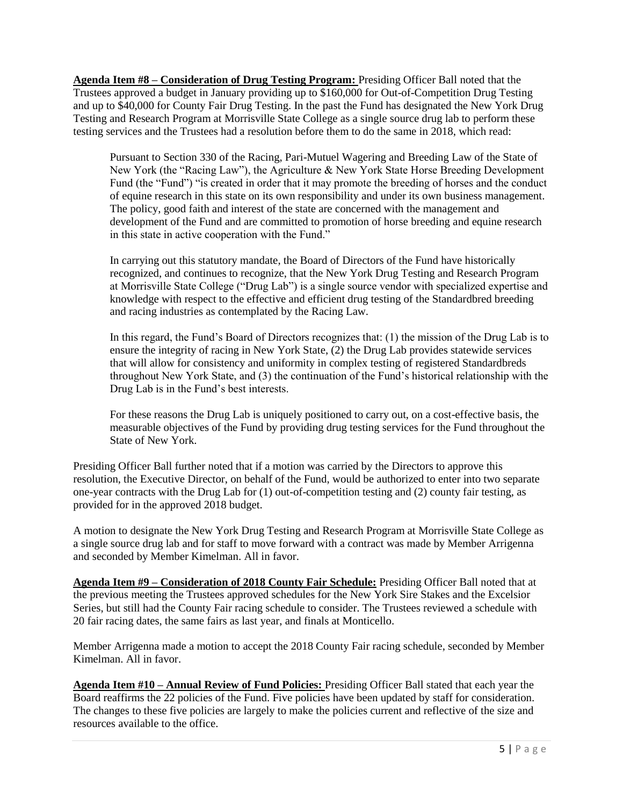**Agenda Item #8 – Consideration of Drug Testing Program:** Presiding Officer Ball noted that the Trustees approved a budget in January providing up to \$160,000 for Out-of-Competition Drug Testing and up to \$40,000 for County Fair Drug Testing. In the past the Fund has designated the New York Drug Testing and Research Program at Morrisville State College as a single source drug lab to perform these testing services and the Trustees had a resolution before them to do the same in 2018, which read:

Pursuant to Section 330 of the Racing, Pari-Mutuel Wagering and Breeding Law of the State of New York (the "Racing Law"), the Agriculture & New York State Horse Breeding Development Fund (the "Fund") "is created in order that it may promote the breeding of horses and the conduct of equine research in this state on its own responsibility and under its own business management. The policy, good faith and interest of the state are concerned with the management and development of the Fund and are committed to promotion of horse breeding and equine research in this state in active cooperation with the Fund."

In carrying out this statutory mandate, the Board of Directors of the Fund have historically recognized, and continues to recognize, that the New York Drug Testing and Research Program at Morrisville State College ("Drug Lab") is a single source vendor with specialized expertise and knowledge with respect to the effective and efficient drug testing of the Standardbred breeding and racing industries as contemplated by the Racing Law.

In this regard, the Fund's Board of Directors recognizes that: (1) the mission of the Drug Lab is to ensure the integrity of racing in New York State, (2) the Drug Lab provides statewide services that will allow for consistency and uniformity in complex testing of registered Standardbreds throughout New York State, and (3) the continuation of the Fund's historical relationship with the Drug Lab is in the Fund's best interests.

For these reasons the Drug Lab is uniquely positioned to carry out, on a cost-effective basis, the measurable objectives of the Fund by providing drug testing services for the Fund throughout the State of New York.

Presiding Officer Ball further noted that if a motion was carried by the Directors to approve this resolution, the Executive Director, on behalf of the Fund, would be authorized to enter into two separate one-year contracts with the Drug Lab for (1) out-of-competition testing and (2) county fair testing, as provided for in the approved 2018 budget.

A motion to designate the New York Drug Testing and Research Program at Morrisville State College as a single source drug lab and for staff to move forward with a contract was made by Member Arrigenna and seconded by Member Kimelman. All in favor.

**Agenda Item #9 – Consideration of 2018 County Fair Schedule:** Presiding Officer Ball noted that at the previous meeting the Trustees approved schedules for the New York Sire Stakes and the Excelsior Series, but still had the County Fair racing schedule to consider. The Trustees reviewed a schedule with 20 fair racing dates, the same fairs as last year, and finals at Monticello.

Member Arrigenna made a motion to accept the 2018 County Fair racing schedule, seconded by Member Kimelman. All in favor.

**Agenda Item #10 – Annual Review of Fund Policies:** Presiding Officer Ball stated that each year the Board reaffirms the 22 policies of the Fund. Five policies have been updated by staff for consideration. The changes to these five policies are largely to make the policies current and reflective of the size and resources available to the office.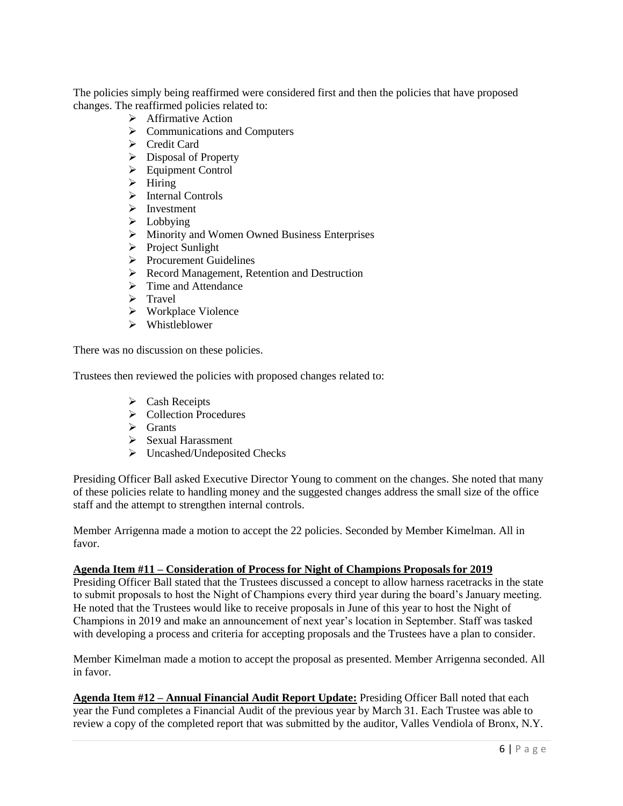The policies simply being reaffirmed were considered first and then the policies that have proposed changes. The reaffirmed policies related to:

- ➢ Affirmative Action
- ➢ Communications and Computers
- ➢ Credit Card
- ➢ Disposal of Property
- ➢ Equipment Control
- $\triangleright$  Hiring
- ➢ Internal Controls
- ➢ Investment
- ➢ Lobbying
- ➢ Minority and Women Owned Business Enterprises
- ➢ Project Sunlight
- ➢ Procurement Guidelines
- ➢ Record Management, Retention and Destruction
- ➢ Time and Attendance
- ➢ Travel
- ➢ Workplace Violence
- ➢ Whistleblower

There was no discussion on these policies.

Trustees then reviewed the policies with proposed changes related to:

- ➢ Cash Receipts
- ➢ Collection Procedures
- ➢ Grants
- ➢ Sexual Harassment
- ➢ Uncashed/Undeposited Checks

Presiding Officer Ball asked Executive Director Young to comment on the changes. She noted that many of these policies relate to handling money and the suggested changes address the small size of the office staff and the attempt to strengthen internal controls.

Member Arrigenna made a motion to accept the 22 policies. Seconded by Member Kimelman. All in favor.

## **Agenda Item #11 – Consideration of Process for Night of Champions Proposals for 2019**

Presiding Officer Ball stated that the Trustees discussed a concept to allow harness racetracks in the state to submit proposals to host the Night of Champions every third year during the board's January meeting. He noted that the Trustees would like to receive proposals in June of this year to host the Night of Champions in 2019 and make an announcement of next year's location in September. Staff was tasked with developing a process and criteria for accepting proposals and the Trustees have a plan to consider.

Member Kimelman made a motion to accept the proposal as presented. Member Arrigenna seconded. All in favor.

**Agenda Item #12 – Annual Financial Audit Report Update:** Presiding Officer Ball noted that each year the Fund completes a Financial Audit of the previous year by March 31. Each Trustee was able to review a copy of the completed report that was submitted by the auditor, Valles Vendiola of Bronx, N.Y.